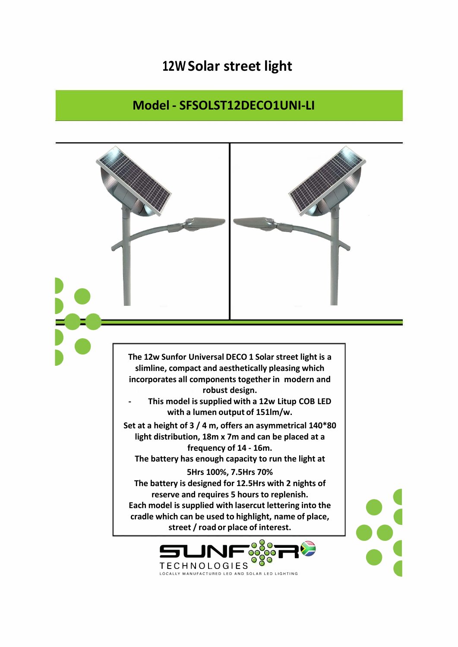## **12W Solar street light**

## **Model - SFSOLST12DECO1UNI-LI**